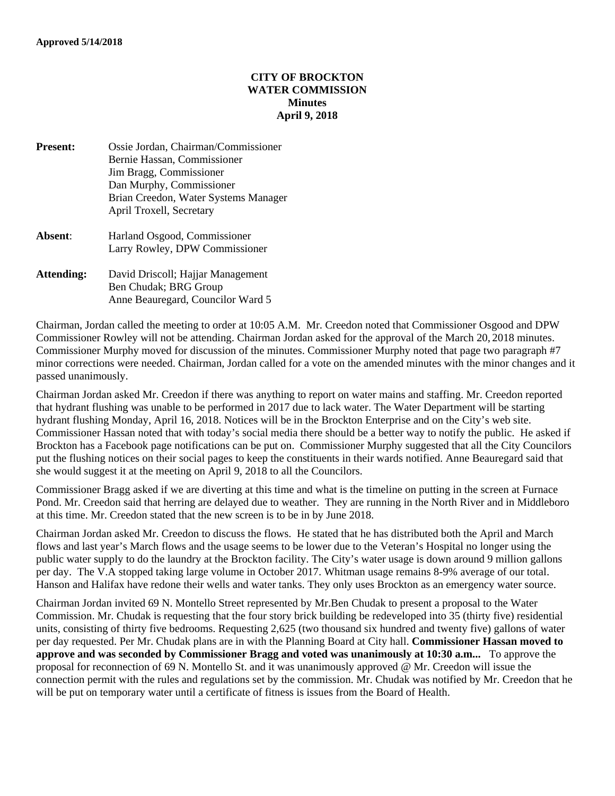## **CITY OF BROCKTON WATER COMMISSION Minutes April 9, 2018**

- **Present:** Ossie Jordan, Chairman/Commissioner Bernie Hassan, Commissioner Jim Bragg, Commissioner Dan Murphy, Commissioner Brian Creedon, Water Systems Manager April Troxell, Secretary **Absent**: Harland Osgood, Commissioner Larry Rowley, DPW Commissioner **Attending:** David Driscoll; Hajjar Management
- Ben Chudak; BRG Group Anne Beauregard, Councilor Ward 5

Chairman, Jordan called the meeting to order at 10:05 A.M. Mr. Creedon noted that Commissioner Osgood and DPW Commissioner Rowley will not be attending. Chairman Jordan asked for the approval of the March 20, 2018 minutes. Commissioner Murphy moved for discussion of the minutes. Commissioner Murphy noted that page two paragraph #7 minor corrections were needed. Chairman, Jordan called for a vote on the amended minutes with the minor changes and it passed unanimously.

Chairman Jordan asked Mr. Creedon if there was anything to report on water mains and staffing. Mr. Creedon reported that hydrant flushing was unable to be performed in 2017 due to lack water. The Water Department will be starting hydrant flushing Monday, April 16, 2018. Notices will be in the Brockton Enterprise and on the City's web site. Commissioner Hassan noted that with today's social media there should be a better way to notify the public. He asked if Brockton has a Facebook page notifications can be put on. Commissioner Murphy suggested that all the City Councilors put the flushing notices on their social pages to keep the constituents in their wards notified. Anne Beauregard said that she would suggest it at the meeting on April 9, 2018 to all the Councilors.

Commissioner Bragg asked if we are diverting at this time and what is the timeline on putting in the screen at Furnace Pond. Mr. Creedon said that herring are delayed due to weather. They are running in the North River and in Middleboro at this time. Mr. Creedon stated that the new screen is to be in by June 2018.

Chairman Jordan asked Mr. Creedon to discuss the flows. He stated that he has distributed both the April and March flows and last year's March flows and the usage seems to be lower due to the Veteran's Hospital no longer using the public water supply to do the laundry at the Brockton facility. The City's water usage is down around 9 million gallons per day. The V.A stopped taking large volume in October 2017. Whitman usage remains 8-9% average of our total. Hanson and Halifax have redone their wells and water tanks. They only uses Brockton as an emergency water source.

Chairman Jordan invited 69 N. Montello Street represented by Mr.Ben Chudak to present a proposal to the Water Commission. Mr. Chudak is requesting that the four story brick building be redeveloped into 35 (thirty five) residential units, consisting of thirty five bedrooms. Requesting 2,625 (two thousand six hundred and twenty five) gallons of water per day requested. Per Mr. Chudak plans are in with the Planning Board at City hall. **Commissioner Hassan moved to approve and was seconded by Commissioner Bragg and voted was unanimously at 10:30 a.m...** To approve the proposal for reconnection of 69 N. Montello St. and it was unanimously approved @ Mr. Creedon will issue the connection permit with the rules and regulations set by the commission. Mr. Chudak was notified by Mr. Creedon that he will be put on temporary water until a certificate of fitness is issues from the Board of Health.